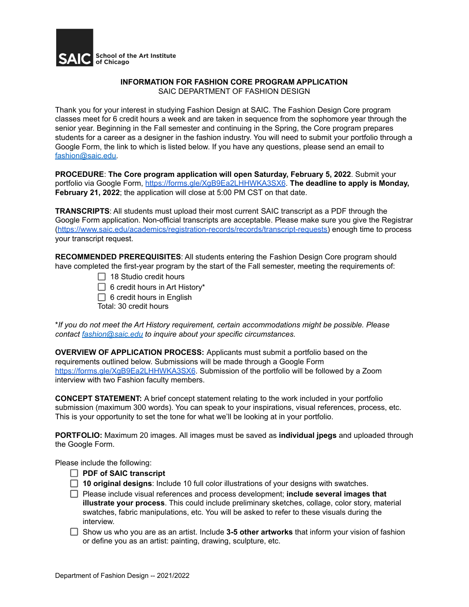

## **INFORMATION FOR FASHION CORE PROGRAM APPLICATION** SAIC DEPARTMENT OF FASHION DESIGN

Thank you for your interest in studying Fashion Design at SAIC. The Fashion Design Core program classes meet for 6 credit hours a week and are taken in sequence from the sophomore year through the senior year. Beginning in the Fall semester and continuing in the Spring, the Core program prepares students for a career as a designer in the fashion industry. You will need to submit your portfolio through a Google Form, the link to which is listed below. If you have any questions, please send an email to [fashion@saic.edu.](mailto:fashion@saic.edu)

**PROCEDURE**: **The Core program application will open Saturday, February 5, 2022**. Submit your portfolio via Google Form, <https://forms.gle/XgB9Ea2LHHWKA3SX6>. **The deadline to apply is Monday, February 21, 2022**; the application will close at 5:00 PM CST on that date.

**TRANSCRIPTS**: All students must upload their most current SAIC transcript as a PDF through the Google Form application. Non-official transcripts are acceptable. Please make sure you give the Registrar [\(https://www.saic.edu/academics/registration-records/records/transcript-requests\)](https://www.saic.edu/academics/registration-records/records/transcript-requests) enough time to process your transcript request.

**RECOMMENDED PREREQUISITES**: All students entering the Fashion Design Core program should have completed the first-year program by the start of the Fall semester, meeting the requirements of:

- $\Box$  18 Studio credit hours
- $\Box$  6 credit hours in Art History\*
- $\Box$  6 credit hours in English
- Total: 30 credit hours

\**If you do not meet the Art History requirement, certain accommodations might be possible. Please contact [fashion@saic.edu](mailto:fashion@saic.edu) to inquire about your specific circumstances.*

**OVERVIEW OF APPLICATION PROCESS:** Applicants must submit a portfolio based on the requirements outlined below. Submissions will be made through a Google Form <https://forms.gle/XgB9Ea2LHHWKA3SX6>. Submission of the portfolio will be followed by a Zoom interview with two Fashion faculty members.

**CONCEPT STATEMENT:** A brief concept statement relating to the work included in your portfolio submission (maximum 300 words). You can speak to your inspirations, visual references, process, etc. This is your opportunity to set the tone for what we'll be looking at in your portfolio.

**PORTFOLIO:** Maximum 20 images. All images must be saved as **individual jpegs** and uploaded through the Google Form.

Please include the following:

- **PDF of SAIC transcript**
- **10 original designs**: Include 10 full color illustrations of your designs with swatches.
- Please include visual references and process development; **include several images that illustrate your process**. This could include preliminary sketches, collage, color story, material swatches, fabric manipulations, etc. You will be asked to refer to these visuals during the interview.
- Show us who you are as an artist. Include **3-5 other artworks** that inform your vision of fashion or define you as an artist: painting, drawing, sculpture, etc.